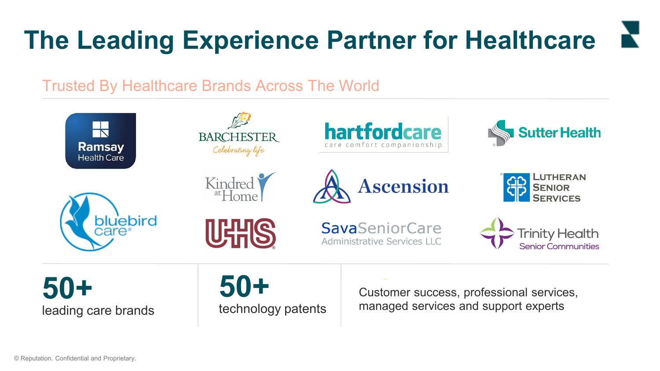# **The Leading Experience Partner for Healthcare**

Trusted By Healthcare Brands Across The World



**50+** leading care brands

**50+** technology patents

Customer success, professional services, managed services and support experts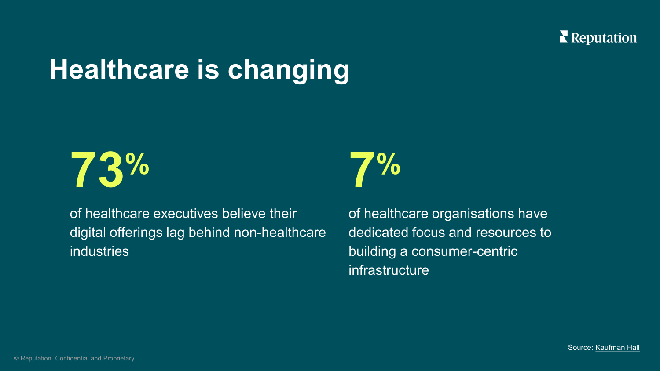

## **Healthcare is changing**



**7%**

of healthcare executives believe their digital offerings lag behind non-healthcare **industries** 

of healthcare organisations have dedicated focus and resources to building a consumer-centric infrastructure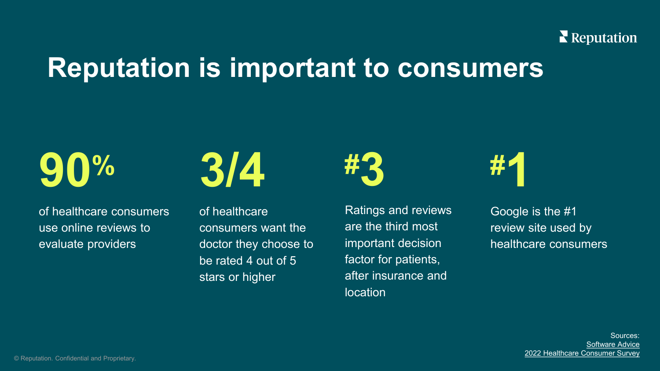#### Reputation

## **Reputation is important to consumers**

**90%**

of healthcare consumers use online reviews to evaluate providers

**3/4**

of healthcare consumers want the doctor they choose to be rated 4 out of 5 stars or higher

**#3**

Ratings and reviews are the third most important decision factor for patients, after insurance and location



Google is the #1 review site used by healthcare consumers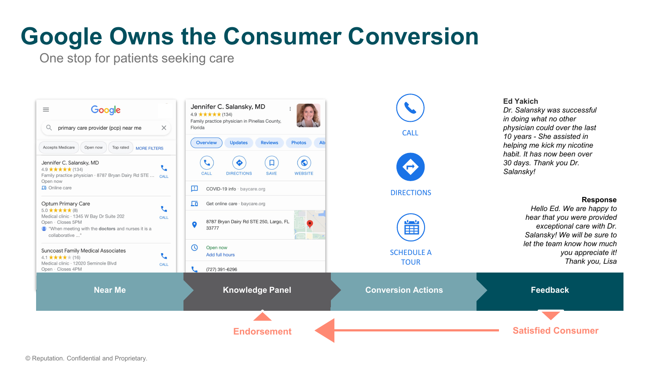### **Google Owns the Consumer Conversion**

One stop for patients seeking care

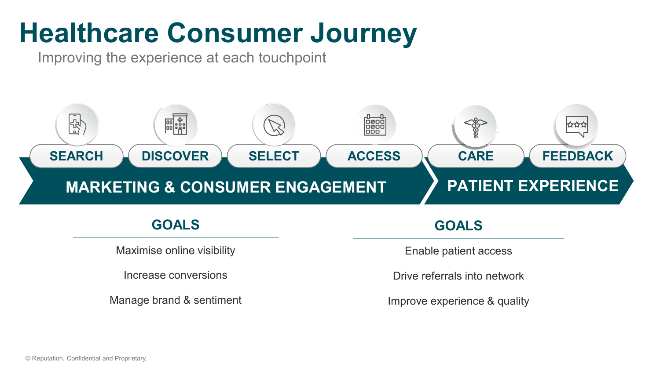## **Healthcare Consumer Journey**

Improving the experience at each touchpoint



**GOALS**

Maximise online visibility

Increase conversions

Manage brand & sentiment

Enable patient access

Drive referrals into network

Improve experience & quality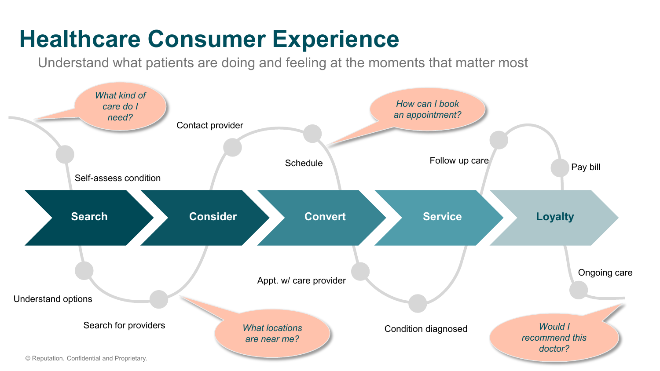#### **Healthcare Consumer Experience**

Understand what patients are doing and feeling at the moments that matter most